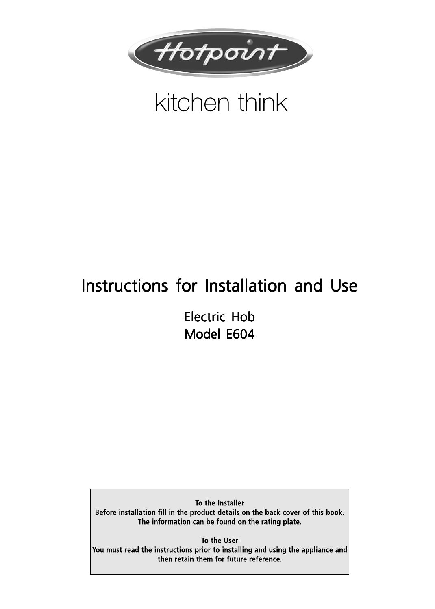

# kitchen think

## Instructions for Installation and Use

Electric Hob Electric Hob Model E604

To the Installer Before installation fill in the product details on the back cover of this book. The information can be found on the rating plate.

To the User You must read the instructions prior to installing and using the appliance and then retain them for future reference.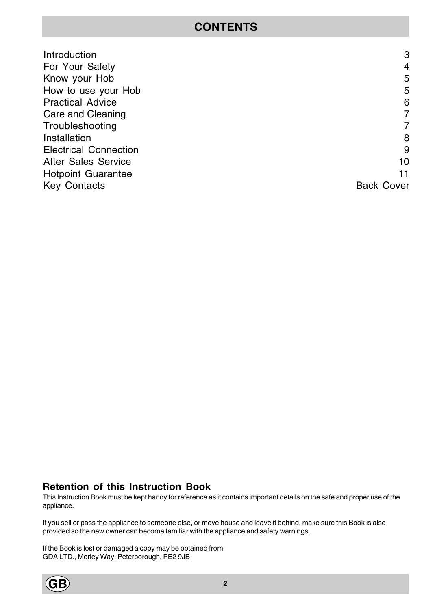### **CONTENTS**

| Introduction                 | 3                 |
|------------------------------|-------------------|
| For Your Safety              | $\overline{4}$    |
| Know your Hob                | 5                 |
| How to use your Hob          | 5                 |
| <b>Practical Advice</b>      | 6                 |
| Care and Cleaning            | $\overline{7}$    |
| Troubleshooting              | $\overline{7}$    |
| Installation                 | 8                 |
| <b>Electrical Connection</b> | 9                 |
| <b>After Sales Service</b>   | 10                |
| <b>Hotpoint Guarantee</b>    | 11                |
| <b>Key Contacts</b>          | <b>Back Cover</b> |
|                              |                   |

### **Retention of this Instruction Book**

This Instruction Book must be kept handy for reference as it contains important details on the safe and proper use of the appliance.

If you sell or pass the appliance to someone else, or move house and leave it behind, make sure this Book is also provided so the new owner can become familiar with the appliance and safety warnings.

If the Book is lost or damaged a copy may be obtained from: GDA LTD., Morley Way, Peterborough, PE2 9JB

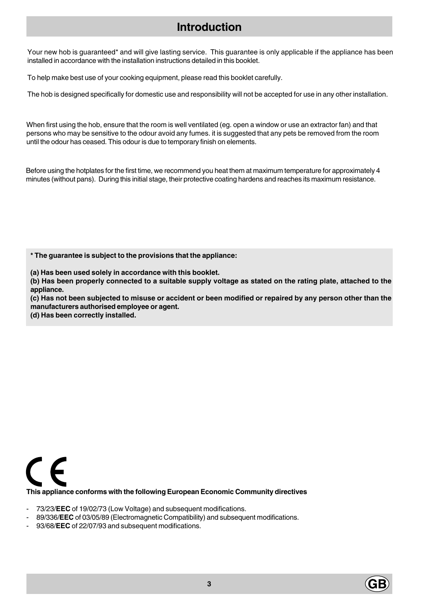### **Introduction**

Your new hob is guaranteed<sup>\*</sup> and will give lasting service. This guarantee is only applicable if the appliance has been installed in accordance with the installation instructions detailed in this booklet.

To help make best use of your cooking equipment, please read this booklet carefully.

The hob is designed specifically for domestic use and responsibility will not be accepted for use in any other installation.

When first using the hob, ensure that the room is well ventilated (eg. open a window or use an extractor fan) and that persons who may be sensitive to the odour avoid any fumes. it is suggested that any pets be removed from the room until the odour has ceased. This odour is due to temporary finish on elements.

Before using the hotplates for the first time, we recommend you heat them at maximum temperature for approximately 4 minutes (without pans). During this initial stage, their protective coating hardens and reaches its maximum resistance.

**\* The guarantee is subject to the provisions that the appliance:**

**(a) Has been used solely in accordance with this booklet.**

**(b) Has been properly connected to a suitable supply voltage as stated on the rating plate, attached to the appliance.**

**(c) Has not been subjected to misuse or accident or been modified or repaired by any person other than the manufacturers authorised employee or agent.**

**(d) Has been correctly installed.**



- 73/23/**EEC** of 19/02/73 (Low Voltage) and subsequent modifications.
- 89/336/**EEC** of 03/05/89 (Electromagnetic Compatibility) and subsequent modifications.
- 93/68/**EEC** of 22/07/93 and subsequent modifications.

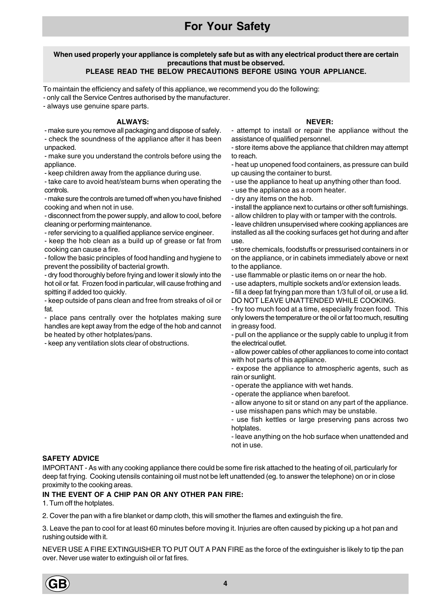### **For Your Safety**

#### **When used properly your appliance is completely safe but as with any electrical product there are certain precautions that must be observed. PLEASE READ THE BELOW PRECAUTIONS BEFORE USING YOUR APPLIANCE.**

To maintain the efficiency and safety of this appliance, we recommend you do the following:

- only call the Service Centres authorised by the manufacturer.

- always use genuine spare parts.

#### **ALWAYS:**

- make sure you remove all packaging and dispose of safely.

- check the soundness of the appliance after it has been unpacked.

- make sure you understand the controls before using the appliance.

- keep children away from the appliance during use.

- take care to avoid heat/steam burns when operating the controls.

- make sure the controls are turned off when you have finished cooking and when not in use.

- disconnect from the power supply, and allow to cool, before cleaning or performing maintenance.

- refer servicing to a qualified appliance service engineer.

- keep the hob clean as a build up of grease or fat from cooking can cause a fire.

- follow the basic principles of food handling and hygiene to prevent the possibility of bacterial growth.

- dry food thoroughly before frying and lower it slowly into the hot oil or fat. Frozen food in particular, will cause frothing and spitting if added too quickly.

- keep outside of pans clean and free from streaks of oil or fat.

- place pans centrally over the hotplates making sure handles are kept away from the edge of the hob and cannot be heated by other hotplates/pans.

- keep any ventilation slots clear of obstructions.

### **NEVER:**

- attempt to install or repair the appliance without the assistance of qualified personnel.

- store items above the appliance that children may attempt to reach.

- heat up unopened food containers, as pressure can build up causing the container to burst.

- use the appliance to heat up anything other than food.

- use the appliance as a room heater.
- dry any items on the hob.

- install the appliance next to curtains or other soft furnishings.

- allow children to play with or tamper with the controls.

- leave children unsupervised where cooking appliances are installed as all the cooking surfaces get hot during and after use.

- store chemicals, foodstuffs or pressurised containers in or on the appliance, or in cabinets immediately above or next to the appliance.

- use flammable or plastic items on or near the hob.

- use adapters, multiple sockets and/or extension leads.

- fill a deep fat frying pan more than 1/3 full of oil, or use a lid. DO NOT LEAVE UNATTENDED WHILE COOKING.

- fry too much food at a time, especially frozen food. This only lowers the temperature or the oil or fat too much, resulting in greasy food.

- pull on the appliance or the supply cable to unplug it from the electrical outlet.

- allow power cables of other appliances to come into contact with hot parts of this appliance.

- expose the appliance to atmospheric agents, such as rain or sunlight.

- operate the appliance with wet hands.

- operate the appliance when barefoot.

- allow anyone to sit or stand on any part of the appliance.

- use misshapen pans which may be unstable.

- use fish kettles or large preserving pans across two hotplates.

- leave anything on the hob surface when unattended and not in use.

### **SAFETY ADVICE**

IMPORTANT - As with any cooking appliance there could be some fire risk attached to the heating of oil, particularly for deep fat frying. Cooking utensils containing oil must not be left unattended (eg. to answer the telephone) on or in close proximity to the cooking areas.

### **IN THE EVENT OF A CHIP PAN OR ANY OTHER PAN FIRE:**

1. Turn off the hotplates.

2. Cover the pan with a fire blanket or damp cloth, this will smother the flames and extinguish the fire.

3. Leave the pan to cool for at least 60 minutes before moving it. Injuries are often caused by picking up a hot pan and rushing outside with it.

NEVER USE A FIRE EXTINGUISHER TO PUT OUT A PAN FIRE as the force of the extinguisher is likely to tip the pan over. Never use water to extinguish oil or fat fires.

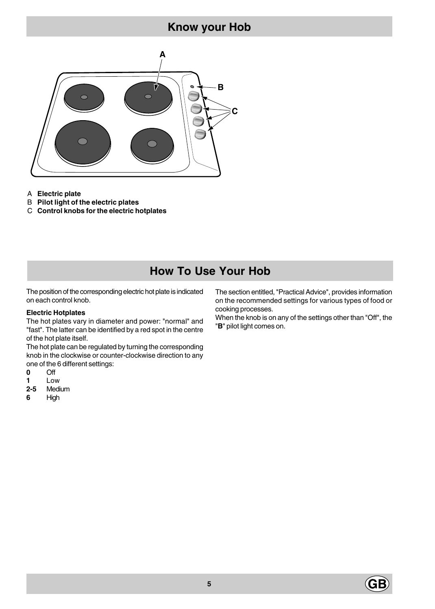### **Know your Hob**



A **Electric plate**

- B **Pilot light of the electric plates**
- C **Control knobs for the electric hotplates**

### **How To Use Your Hob**

The position of the corresponding electric hot plate is indicated on each control knob.

#### **Electric Hotplates**

The hot plates vary in diameter and power: "normal" and "fast". The latter can be identified by a red spot in the centre of the hot plate itself.

The hot plate can be regulated by turning the corresponding knob in the clockwise or counter-clockwise direction to any one of the 6 different settings:

- **0** Off
- **1** Low
- **2-5** Medium
- **6** High

The section entitled, "Practical Advice", provides information on the recommended settings for various types of food or cooking processes.

When the knob is on any of the settings other than "Off", the "**B**" pilot light comes on.

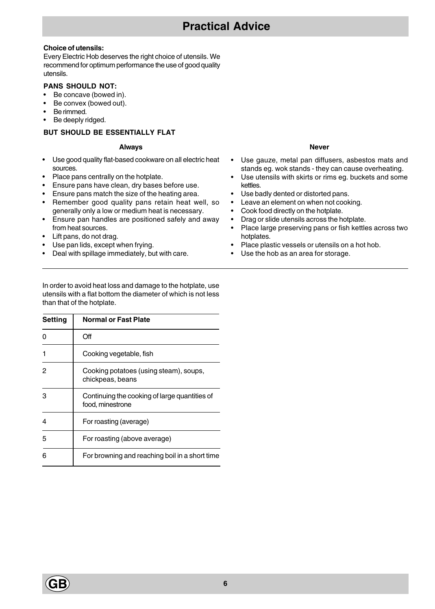### **Choice of utensils:**

Every Electric Hob deserves the right choice of utensils. We recommend for optimum performance the use of good quality utensils.

### **PANS SHOULD NOT:**

- Be concave (bowed in).
- Be convex (bowed out).
- Be rimmed.
- Be deeply ridged.

### **BUT SHOULD BE ESSENTIALLY FLAT**

#### **Always**

- Use good quality flat-based cookware on all electric heat sources.
- Place pans centrally on the hotplate.
- Ensure pans have clean, dry bases before use.
- Ensure pans match the size of the heating area.
- Remember good quality pans retain heat well, so generally only a low or medium heat is necessary.
- Ensure pan handles are positioned safely and away from heat sources.
- Lift pans, do not drag.
- Use pan lids, except when frying.
- Deal with spillage immediately, but with care.

#### **Never**

- Use gauze, metal pan diffusers, asbestos mats and stands eg. wok stands - they can cause overheating.
- Use utensils with skirts or rims eg. buckets and some kettles.
- Use badly dented or distorted pans.
- Leave an element on when not cooking.
- Cook food directly on the hotplate.
- Drag or slide utensils across the hotplate.
- Place large preserving pans or fish kettles across two hotplates.
- Place plastic vessels or utensils on a hot hob.
- Use the hob as an area for storage.

In order to avoid heat loss and damage to the hotplate, use utensils with a flat bottom the diameter of which is not less than that of the hotplate.

| <b>Setting</b> | <b>Normal or Fast Plate</b>                                       |
|----------------|-------------------------------------------------------------------|
| 0              | Off                                                               |
| 1              | Cooking vegetable, fish                                           |
| 2              | Cooking potatoes (using steam), soups,<br>chickpeas, beans        |
| 3              | Continuing the cooking of large quantities of<br>food, minestrone |
| 4              | For roasting (average)                                            |
| 5              | For roasting (above average)                                      |
| 6              | For browning and reaching boil in a short time                    |

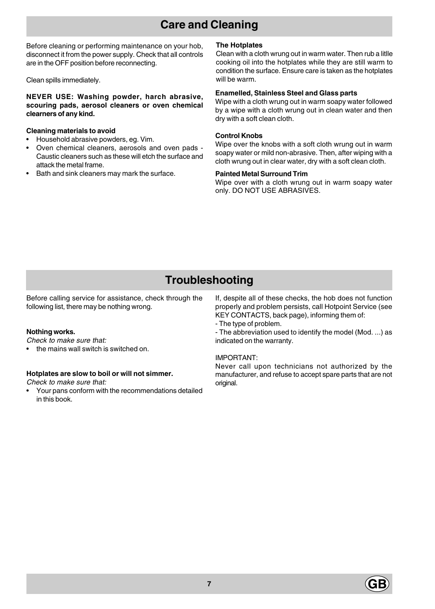### **Care and Cleaning**

Before cleaning or performing maintenance on your hob, disconnect it from the power supply. Check that all controls are in the OFF position before reconnecting.

Clean spills immediately.

**NEVER USE: Washing powder, harch abrasive, scouring pads, aerosol cleaners or oven chemical clearners of any kind.**

#### **Cleaning materials to avoid**

- Household abrasive powders, eg. Vim.
- Oven chemical cleaners, aerosols and oven pads Caustic cleaners such as these will etch the surface and attack the metal frame.
- Bath and sink cleaners may mark the surface.

#### **The Hotplates**

Clean with a cloth wrung out in warm water. Then rub a litlle cooking oil into the hotplates while they are still warm to condition the surface. Ensure care is taken as the hotplates will be warm.

#### **Enamelled, Stainless Steel and Glass parts**

Wipe with a cloth wrung out in warm soapy water followed by a wipe with a cloth wrung out in clean water and then dry with a soft clean cloth.

#### **Control Knobs**

Wipe over the knobs with a soft cloth wrung out in warm soapy water or mild non-abrasive. Then, after wiping with a cloth wrung out in clear water, dry with a soft clean cloth.

### **Painted Metal Surround Trim**

Wipe over with a cloth wrung out in warm soapy water only. DO NOT USE ABRASIVES.

### **Troubleshooting**

Before calling service for assistance, check through the following list, there may be nothing wrong.

#### **Nothing works.**

Check to make sure that:

• the mains wall switch is switched on.

#### **Hotplates are slow to boil or will not simmer.**

### Check to make sure that:

• Your pans conform with the recommendations detailed in this book.

If, despite all of these checks, the hob does not function properly and problem persists, call Hotpoint Service (see KEY CONTACTS, back page), informing them of:

- The type of problem.

- The abbreviation used to identify the model (Mod. ...) as indicated on the warranty.

#### IMPORTANT:

Never call upon technicians not authorized by the manufacturer, and refuse to accept spare parts that are not original.

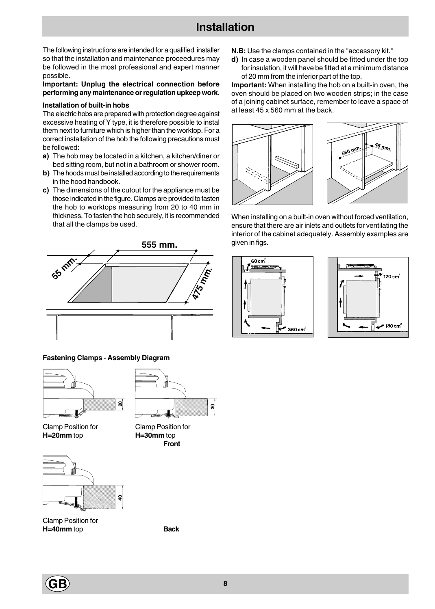### **Installation**

The following instructions are intended for a qualified installer so that the installation and maintenance proceedures may be followed in the most professional and expert manner possible.

#### **Important: Unplug the electrical connection before performing any maintenance or regulation upkeep work.**

#### **Installation of built-in hobs**

The electric hobs are prepared with protection degree against excessive heating of Y type, it is therefore possible to instal them next to furniture which is higher than the worktop. For a correct installation of the hob the following precautions must be followed:

- **a)** The hob may be located in a kitchen, a kitchen/diner or bed sitting room, but not in a bathroom or shower room.
- **b)** The hoods must be installed according to the requirements in the hood handbook.
- **c)** The dimensions of the cutout for the appliance must be those indicated in the figure. Clamps are provided to fasten the hob to worktops measuring from 20 to 40 mm in thickness. To fasten the hob securely, it is recommended that all the clamps be used.



#### **Fastening Clamps - Assembly Diagram**



Clamp Position for Clamp Position for **H=20mm** top **H=30mm** top



Clamp Position for **H=40mm** top **Back**



**Front**

- **N.B:** Use the clamps contained in the "accessory kit."
- **d)** In case a wooden panel should be fitted under the top for insulation, it will have be fitted at a minimum distance of 20 mm from the inferior part of the top.

**Important:** When installing the hob on a built-in oven, the oven should be placed on two wooden strips; in the case of a joining cabinet surface, remember to leave a space of at least 45 x 560 mm at the back.



When installing on a built-in oven without forced ventilation, ensure that there are air inlets and outlets for ventilating the interior of the cabinet adequately. Assembly examples are given in figs.





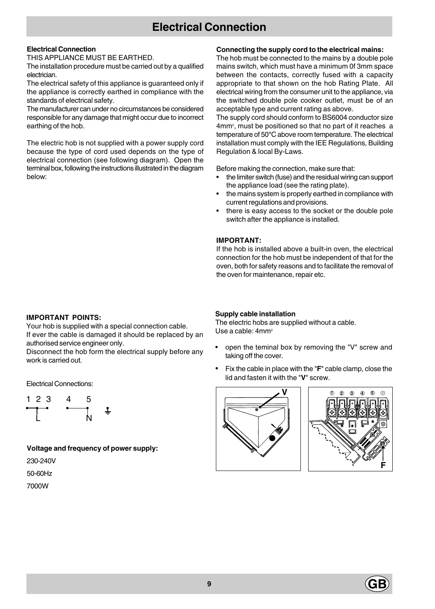### **Electrical Connection**

### **Electrical Connection**

THIS APPLIANCE MUST BE EARTHED.

The installation procedure must be carried out by a qualified electrician.

The electrical safety of this appliance is guaranteed only if the appliance is correctly earthed in compliance with the standards of electrical safety.

The manufacturer can under no circumstances be considered responsible for any damage that might occur due to incorrect earthing of the hob.

The electric hob is not supplied with a power supply cord because the type of cord used depends on the type of electrical connection (see following diagram). Open the terminal box, following the instructions illustrated in the diagram below:

### **Connecting the supply cord to the electrical mains:**

The hob must be connected to the mains by a double pole mains switch, which must have a minimum 0f 3mm space between the contacts, correctly fused with a capacity appropriate to that shown on the hob Rating Plate. All electrical wiring from the consumer unit to the appliance, via the switched double pole cooker outlet, must be of an acceptable type and current rating as above.

The supply cord should conform to BS6004 conductor size 4mm2, must be positioned so that no part of it reaches a temperature of 50**°**C above room temperature. The electrical installation must comply with the IEE Regulations, Building Regulation & local By-Laws.

Before making the connection, make sure that:

- the limiter switch (fuse) and the residual wiring can support the appliance load (see the rating plate).
- the mains system is properly earthed in compliance with current regulations and provisions.
- there is easy access to the socket or the double pole switch after the appliance is installed.

### **IMPORTANT:**

If the hob is installed above a built-in oven, the electrical connection for the hob must be independent of that for the oven, both for safety reasons and to facilitate the removal of the oven for maintenance, repair etc.

### **IMPORTANT POINTS:**

Your hob is supplied with a special connection cable. If ever the cable is damaged it should be replaced by an authorised service engineer only.

Disconnect the hob form the electrical supply before any work is carried out.

Electrical Connections:



**Voltage and frequency of power supply:** 230-240V 50-60Hz

### 7000W

### **Supply cable installation**

The electric hobs are supplied without a cable. Use a cable: 4mm<sup>2</sup>

- open the teminal box by removing the "V" screw and taking off the cover.
- Fix the cable in place with the "**F**" cable clamp, close the lid and fasten it with the "**V**" screw.





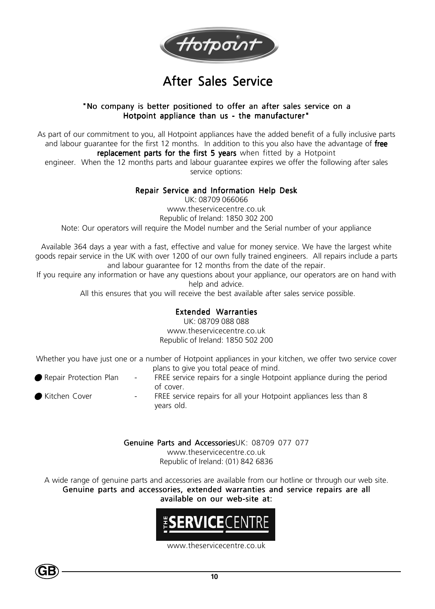

### After Sales Service

### "No company is better positioned to offer an after sales service on a Hotpoint appliance than us - the manufacturer"

As part of our commitment to you, all Hotpoint appliances have the added benefit of a fully inclusive parts and labour guarantee for the first 12 months. In addition to this you also have the advantage of free replacement parts for the first 5 years when fitted by a Hotpoint

engineer. When the 12 months parts and labour guarantee expires we offer the following after sales service options:

### Repair Service and Information Help Desk

UK: 08709 066066 www.theservicecentre.co.uk Republic of Ireland: 1850 302 200 Note: Our operators will require the Model number and the Serial number of your appliance

Available 364 days a year with a fast, effective and value for money service. We have the largest white goods repair service in the UK with over 1200 of our own fully trained engineers. All repairs include a parts and labour guarantee for 12 months from the date of the repair.

If you require any information or have any questions about your appliance, our operators are on hand with help and advice.

All this ensures that you will receive the best available after sales service possible.

### Extended Warranties

UK: 08709 088 088 www.theservicecentre.co.uk Republic of Ireland: 1850 502 200

Whether you have just one or a number of Hotpoint appliances in your kitchen, we offer two service cover plans to give you total peace of mind.

- Repair Protection Plan + FREE service repairs for a single Hotpoint appliance during the period of cover.
- If Kitchen Cover The State of the Exervice repairs for all your Hotpoint appliances less than 8 years old.

Genuine Parts and AccessoriesUK: 08709 077 077 www.theservicecentre.co.uk Republic of Ireland: (01) 842 6836

A wide range of genuine parts and accessories are available from our hotline or through our web site. Genuine parts and accessories, extended warranties and service repairs are all available on our web-site at:



www.theservicecentre.co.uk

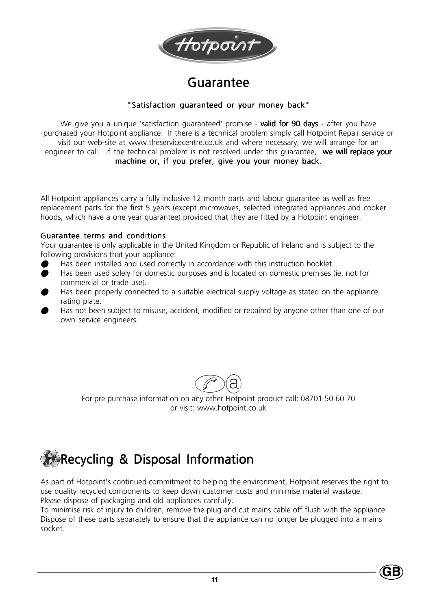

### Guarantee

### "Satisfaction guaranteed or your money back"

We give you a unique 'satisfaction guaranteed' promise - **valid for 90 days** - after you have purchased your Hotpoint appliance. If there is a technical problem simply call Hotpoint Repair service or visit our web-site at www.theservicecentre.co.uk and where necessary, we will arrange for an engineer to call. If the technical problem is not resolved under this guarantee, we will replace your machine or, if you prefer, give you your money back.

All Hotpoint appliances carry a fully inclusive 12 month parts and labour guarantee as well as free replacement parts for the first 5 years (except microwaves, selected integrated appliances and cooker hoods, which have a one year guarantee) provided that they are fitted by a Hotpoint engineer.

### Guarantee terms and conditions

Your guarantee is only applicable in the United Kingdom or Republic of Ireland and is subject to the following provisions that your appliance:

- Has been installed and used correctly in accordance with this instruction booklet.
- O Has been used solely for domestic purposes and is located on domestic premises (ie. not for commercial or trade use).
- Has been properly connected to a suitable electrical supply voltage as stated on the appliance rating plate.
- Has not been subject to misuse, accident, modified or repaired by anyone other than one of our own service engineers.



For pre purchase information on any other Hotpoint product call: 08701 50 60 70 or visit: www.hotpoint.co.uk

## **Recycling & Disposal Information**

As part of Hotpoint's continued commitment to helping the environment, Hotpoint reserves the right to use quality recycled components to keep down customer costs and minimise material wastage. Please dispose of packaging and old appliances carefully.

To minimise risk of injury to children, remove the plug and cut mains cable off flush with the appliance. Dispose of these parts separately to ensure that the appliance can no longer be plugged into a mains socket.